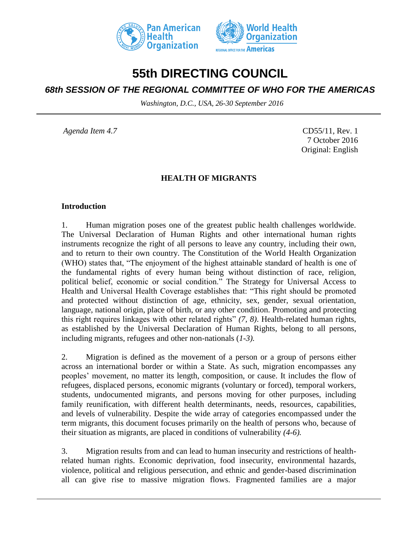



# **55th DIRECTING COUNCIL**

# *68th SESSION OF THE REGIONAL COMMITTEE OF WHO FOR THE AMERICAS*

*Washington, D.C., USA, 26-30 September 2016*

*Agenda Item 4.7* CD55/11, Rev. 1 7 October 2016 Original: English

## **HEALTH OF MIGRANTS**

#### **Introduction**

1. Human migration poses one of the greatest public health challenges worldwide. The Universal Declaration of Human Rights and other international human rights instruments recognize the right of all persons to leave any country, including their own, and to return to their own country. The Constitution of the World Health Organization (WHO) states that, "The enjoyment of the highest attainable standard of health is one of the fundamental rights of every human being without distinction of race, religion, political belief, economic or social condition." The Strategy for Universal Access to Health and Universal Health Coverage establishes that: "This right should be promoted and protected without distinction of age, ethnicity, sex, gender, sexual orientation, language, national origin, place of birth, or any other condition. Promoting and protecting this right requires linkages with other related rights" *(7, 8)*. Health-related human rights, as established by the Universal Declaration of Human Rights, belong to all persons, including migrants, refugees and other non-nationals (*1-3).*

2. Migration is defined as the movement of a person or a group of persons either across an international border or within a State. As such, migration encompasses any peoples' movement, no matter its length, composition, or cause. It includes the flow of refugees, displaced persons, economic migrants (voluntary or forced), temporal workers, students, undocumented migrants, and persons moving for other purposes, including family reunification, with different health determinants, needs, resources, capabilities, and levels of vulnerability. Despite the wide array of categories encompassed under the term migrants, this document focuses primarily on the health of persons who, because of their situation as migrants, are placed in conditions of vulnerability *(4-6).*

3. Migration results from and can lead to human insecurity and restrictions of healthrelated human rights. Economic deprivation, food insecurity, environmental hazards, violence, political and religious persecution, and ethnic and gender-based discrimination all can give rise to massive migration flows. Fragmented families are a major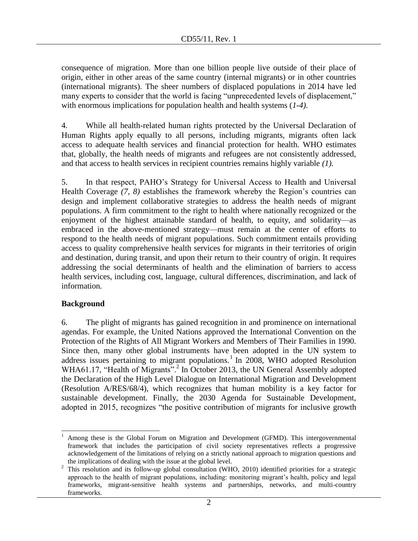consequence of migration. More than one billion people live outside of their place of origin, either in other areas of the same country (internal migrants) or in other countries (international migrants). The sheer numbers of displaced populations in 2014 have led many experts to consider that the world is facing "unprecedented levels of displacement," with enormous implications for population health and health systems (*1-4).*

4. While all health-related human rights protected by the Universal Declaration of Human Rights apply equally to all persons, including migrants, migrants often lack access to adequate health services and financial protection for health. WHO estimates that, globally, the health needs of migrants and refugees are not consistently addressed, and that access to health services in recipient countries remains highly variable *(1).*

5. In that respect, PAHO's Strategy for Universal Access to Health and Universal Health Coverage *(7, 8)* establishes the framework whereby the Region's countries can design and implement collaborative strategies to address the health needs of migrant populations. A firm commitment to the right to health where nationally recognized or the enjoyment of the highest attainable standard of health, to equity, and solidarity—as embraced in the above-mentioned strategy—must remain at the center of efforts to respond to the health needs of migrant populations. Such commitment entails providing access to quality comprehensive health services for migrants in their territories of origin and destination, during transit, and upon their return to their country of origin. It requires addressing the social determinants of health and the elimination of barriers to access health services, including cost, language, cultural differences, discrimination, and lack of information*.*

## **Background**

6. The plight of migrants has gained recognition in and prominence on international agendas. For example, the United Nations approved the International Convention on the Protection of the Rights of All Migrant Workers and Members of Their Families in 1990. Since then, many other global instruments have been adopted in the UN system to address issues pertaining to migrant populations.<sup>1</sup> In 2008, WHO adopted Resolution WHA61.17, "Health of Migrants".<sup>2</sup> In October 2013, the UN General Assembly adopted the Declaration of the High Level Dialogue on International Migration and Development (Resolution A/RES/68/4), which recognizes that human mobility is a key factor for sustainable development. Finally, the 2030 Agenda for Sustainable Development, adopted in 2015, recognizes "the positive contribution of migrants for inclusive growth

l <sup>1</sup> Among these is the Global Forum on Migration and Development (GFMD). This intergovernmental framework that includes the participation of civil society representatives reflects a progressive acknowledgement of the limitations of relying on a strictly national approach to migration questions and the implications of dealing with the issue at the global level.

<sup>&</sup>lt;sup>2</sup> This resolution and its follow-up global consultation (WHO, 2010) identified priorities for a strategic approach to the health of migrant populations, including: monitoring migrant's health, policy and legal frameworks, migrant-sensitive health systems and partnerships, networks, and multi-country frameworks.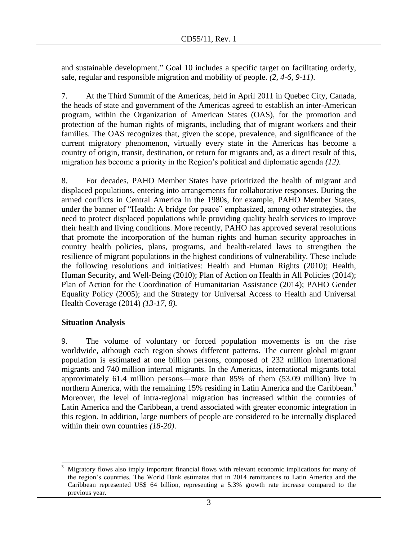and sustainable development." Goal 10 includes a specific target on facilitating orderly, safe, regular and responsible migration and mobility of people. *(2, 4-6, 9-11)*.

7. At the Third Summit of the Americas, held in April 2011 in Quebec City, Canada, the heads of state and government of the Americas agreed to establish an inter-American program, within the Organization of American States (OAS), for the promotion and protection of the human rights of migrants, including that of migrant workers and their families. The OAS recognizes that, given the scope, prevalence, and significance of the current migratory phenomenon, virtually every state in the Americas has become a country of origin, transit, destination, or return for migrants and, as a direct result of this, migration has become a priority in the Region's political and diplomatic agenda *(12)*.

8. For decades, PAHO Member States have prioritized the health of migrant and displaced populations, entering into arrangements for collaborative responses. During the armed conflicts in Central America in the 1980s, for example, PAHO Member States, under the banner of "Health: A bridge for peace" emphasized, among other strategies, the need to protect displaced populations while providing quality health services to improve their health and living conditions. More recently, PAHO has approved several resolutions that promote the incorporation of the human rights and human security approaches in country health policies, plans, programs, and health-related laws to strengthen the resilience of migrant populations in the highest conditions of vulnerability. These include the following resolutions and initiatives: Health and Human Rights (2010); Health, Human Security, and Well-Being (2010); Plan of Action on Health in All Policies (2014); Plan of Action for the Coordination of Humanitarian Assistance (2014); PAHO Gender Equality Policy (2005); and the Strategy for Universal Access to Health and Universal Health Coverage (2014) *(13-17, 8).*

## **Situation Analysis**

9. The volume of voluntary or forced population movements is on the rise worldwide, although each region shows different patterns. The current global migrant population is estimated at one billion persons, composed of 232 million international migrants and 740 million internal migrants. In the Americas, international migrants total approximately 61.4 million persons—more than 85% of them (53.09 million) live in northern America, with the remaining 15% residing in Latin America and the Caribbean.<sup>3</sup> Moreover, the level of intra-regional migration has increased within the countries of Latin America and the Caribbean, a trend associated with greater economic integration in this region. In addition, large numbers of people are considered to be internally displaced within their own countries *(18-20)*.

 $\overline{a}$ <sup>3</sup> Migratory flows also imply important financial flows with relevant economic implications for many of the region's countries. The World Bank estimates that in 2014 remittances to Latin America and the Caribbean represented US\$ 64 billion, representing a 5.3% growth rate increase compared to the previous year.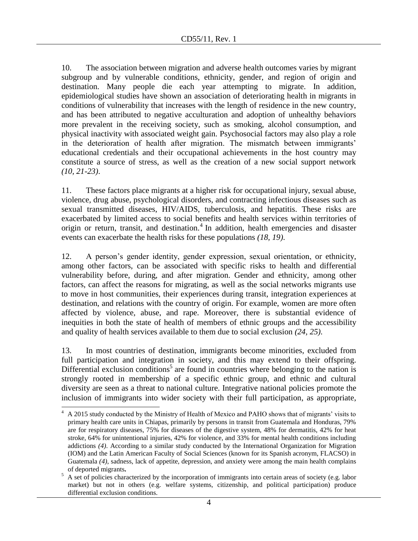10. The association between migration and adverse health outcomes varies by migrant subgroup and by vulnerable conditions, ethnicity, gender, and region of origin and destination. Many people die each year attempting to migrate. In addition, epidemiological studies have shown an association of deteriorating health in migrants in conditions of vulnerability that increases with the length of residence in the new country, and has been attributed to negative acculturation and adoption of unhealthy behaviors more prevalent in the receiving society, such as smoking, alcohol consumption, and physical inactivity with associated weight gain. Psychosocial factors may also play a role in the deterioration of health after migration. The mismatch between immigrants' educational credentials and their occupational achievements in the host country may constitute a source of stress, as well as the creation of a new social support network *(10, 21-23)*.

11. These factors place migrants at a higher risk for occupational injury, sexual abuse, violence, drug abuse, psychological disorders, and contracting infectious diseases such as sexual transmitted diseases, HIV/AIDS, tuberculosis, and hepatitis. These risks are exacerbated by limited access to social benefits and health services within territories of origin or return, transit, and destination. $4$  In addition, health emergencies and disaster events can exacerbate the health risks for these populations *(18, 19)*.

12. A person's gender identity, gender expression, sexual orientation, or ethnicity, among other factors, can be associated with specific risks to health and differential vulnerability before, during, and after migration. Gender and ethnicity, among other factors, can affect the reasons for migrating, as well as the social networks migrants use to move in host communities, their experiences during transit, integration experiences at destination, and relations with the country of origin. For example, women are more often affected by violence, abuse, and rape. Moreover, there is substantial evidence of inequities in both the state of health of members of ethnic groups and the accessibility and quality of health services available to them due to social exclusion *(24, 25)*.

13. In most countries of destination, immigrants become minorities, excluded from full participation and integration in society, and this may extend to their offspring. Differential exclusion conditions<sup>5</sup> are found in countries where belonging to the nation is strongly rooted in membership of a specific ethnic group, and ethnic and cultural diversity are seen as a threat to national culture. Integrative national policies promote the inclusion of immigrants into wider society with their full participation, as appropriate,

 $\overline{a}$ 

 $4$  A 2015 study conducted by the Ministry of Health of Mexico and PAHO shows that of migrants' visits to primary health care units in Chiapas, primarily by persons in transit from Guatemala and Honduras, 79% are for respiratory diseases, 75% for diseases of the digestive system, 48% for dermatitis, 42% for heat stroke, 64% for unintentional injuries, 42% for violence, and 33% for mental health conditions including addictions *(4)*. According to a similar study conducted by the International Organization for Migration (IOM) and the Latin American Faculty of Social Sciences (known for its Spanish acronym, FLACSO) in Guatemala *(4)*, sadness, lack of appetite, depression, and anxiety were among the main health complains of deported migrants**.**

 $\frac{5}{5}$  A set of policies characterized by the incorporation of immigrants into certain areas of society (e.g. labor market) but not in others (e.g. welfare systems, citizenship, and political participation) produce differential exclusion conditions.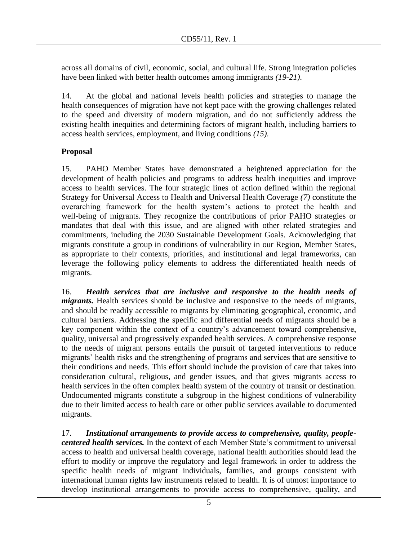across all domains of civil, economic, social, and cultural life. Strong integration policies have been linked with better health outcomes among immigrants *(19-21)*.

14. At the global and national levels health policies and strategies to manage the health consequences of migration have not kept pace with the growing challenges related to the speed and diversity of modern migration, and do not sufficiently address the existing health inequities and determining factors of migrant health, including barriers to access health services, employment, and living conditions *(15)*.

## **Proposal**

15. PAHO Member States have demonstrated a heightened appreciation for the development of health policies and programs to address health inequities and improve access to health services. The four strategic lines of action defined within the regional Strategy for Universal Access to Health and Universal Health Coverage *(7)* constitute the overarching framework for the health system's actions to protect the health and well-being of migrants. They recognize the contributions of prior PAHO strategies or mandates that deal with this issue, and are aligned with other related strategies and commitments, including the 2030 Sustainable Development Goals. Acknowledging that migrants constitute a group in conditions of vulnerability in our Region, Member States, as appropriate to their contexts, priorities, and institutional and legal frameworks, can leverage the following policy elements to address the differentiated health needs of migrants.

16. *Health services that are inclusive and responsive to the health needs of migrants*. Health services should be inclusive and responsive to the needs of migrants, and should be readily accessible to migrants by eliminating geographical, economic, and cultural barriers. Addressing the specific and differential needs of migrants should be a key component within the context of a country's advancement toward comprehensive, quality, universal and progressively expanded health services. A comprehensive response to the needs of migrant persons entails the pursuit of targeted interventions to reduce migrants' health risks and the strengthening of programs and services that are sensitive to their conditions and needs. This effort should include the provision of care that takes into consideration cultural, religious, and gender issues, and that gives migrants access to health services in the often complex health system of the country of transit or destination. Undocumented migrants constitute a subgroup in the highest conditions of vulnerability due to their limited access to health care or other public services available to documented migrants.

17. *Institutional arrangements to provide access to comprehensive, quality, peoplecentered health services.* In the context of each Member State's commitment to universal access to health and universal health coverage, national health authorities should lead the effort to modify or improve the regulatory and legal framework in order to address the specific health needs of migrant individuals, families, and groups consistent with international human rights law instruments related to health. It is of utmost importance to develop institutional arrangements to provide access to comprehensive, quality, and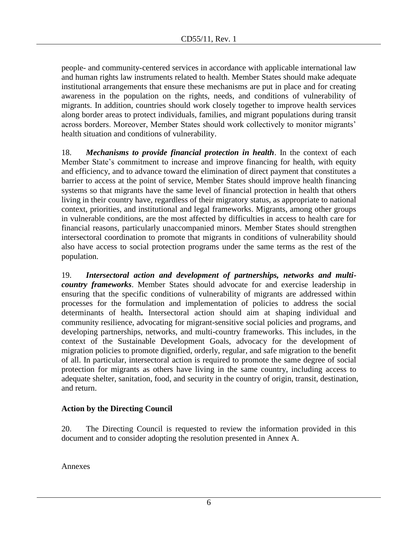people- and community-centered services in accordance with applicable international law and human rights law instruments related to health. Member States should make adequate institutional arrangements that ensure these mechanisms are put in place and for creating awareness in the population on the rights, needs, and conditions of vulnerability of migrants. In addition, countries should work closely together to improve health services along border areas to protect individuals, families, and migrant populations during transit across borders. Moreover, Member States should work collectively to monitor migrants' health situation and conditions of vulnerability.

18. *Mechanisms to provide financial protection in health*. In the context of each Member State's commitment to increase and improve financing for health, with equity and efficiency, and to advance toward the elimination of direct payment that constitutes a barrier to access at the point of service, Member States should improve health financing systems so that migrants have the same level of financial protection in health that others living in their country have, regardless of their migratory status, as appropriate to national context, priorities, and institutional and legal frameworks. Migrants, among other groups in vulnerable conditions, are the most affected by difficulties in access to health care for financial reasons, particularly unaccompanied minors. Member States should strengthen intersectoral coordination to promote that migrants in conditions of vulnerability should also have access to social protection programs under the same terms as the rest of the population.

19. *Intersectoral action and development of partnerships, networks and multicountry frameworks*. Member States should advocate for and exercise leadership in ensuring that the specific conditions of vulnerability of migrants are addressed within processes for the formulation and implementation of policies to address the social determinants of health**.** Intersectoral action should aim at shaping individual and community resilience, advocating for migrant-sensitive social policies and programs, and developing partnerships, networks, and multi-country frameworks. This includes, in the context of the Sustainable Development Goals, advocacy for the development of migration policies to promote dignified, orderly, regular, and safe migration to the benefit of all. In particular, intersectoral action is required to promote the same degree of social protection for migrants as others have living in the same country, including access to adequate shelter, sanitation, food, and security in the country of origin, transit, destination, and return.

## **Action by the Directing Council**

20. The Directing Council is requested to review the information provided in this document and to consider adopting the resolution presented in Annex A.

Annexes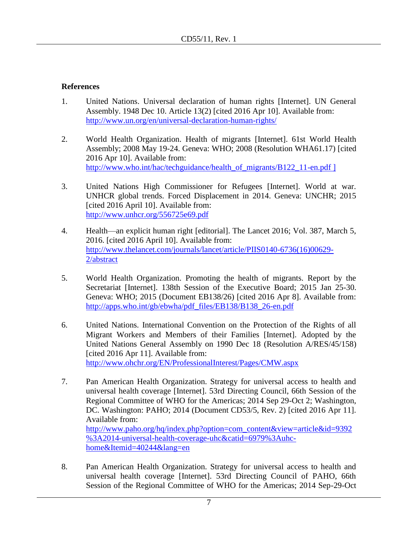## **References**

- 1. United Nations. Universal declaration of human rights [Internet]. UN General Assembly. 1948 Dec 10. Article 13(2) [cited 2016 Apr 10]. Available from: <http://www.un.org/en/universal-declaration-human-rights/>
- 2. World Health Organization. Health of migrants [Internet]. 61st World Health Assembly; 2008 May 19-24. Geneva: WHO; 2008 (Resolution WHA61.17) [cited 2016 Apr 10]. Available from: [http://www.who.int/hac/techguidance/health\\_of\\_migrants/B122\\_11-en.pdf](http://www.who.int/hac/techguidance/health_of_migrants/B122_11-en.pdf) ]
- 3. United Nations High Commissioner for Refugees [Internet]. World at war. UNHCR global trends. Forced Displacement in 2014. Geneva: UNCHR; 2015 [cited 2016 April 10]. Available from: <http://www.unhcr.org/556725e69.pdf>
- 4. Health—an explicit human right [editorial]. The Lancet 2016; Vol. 387, March 5, 2016. [cited 2016 April 10]. Available from: [http://www.thelancet.com/journals/lancet/article/PIIS0140-6736\(16\)00629-](http://www.thelancet.com/journals/lancet/article/PIIS0140-6736(16)00629-2/abstract) [2/abstract](http://www.thelancet.com/journals/lancet/article/PIIS0140-6736(16)00629-2/abstract)
- 5. World Health Organization. Promoting the health of migrants. Report by the Secretariat [Internet]. 138th Session of the Executive Board; 2015 Jan 25-30. Geneva: WHO; 2015 (Document EB138/26) [cited 2016 Apr 8]. Available from: [http://apps.who.int/gb/ebwha/pdf\\_files/EB138/B138\\_26-en.pdf](http://apps.who.int/gb/ebwha/pdf_files/EB138/B138_26-en.pdf)
- 6. United Nations. International Convention on the Protection of the Rights of all Migrant Workers and Members of their Families [Internet]. Adopted by the United Nations General Assembly on 1990 Dec 18 (Resolution A/RES/45/158) [cited 2016 Apr 11]. Available from: <http://www.ohchr.org/EN/ProfessionalInterest/Pages/CMW.aspx>
- 7. Pan American Health Organization. Strategy for universal access to health and universal health coverage [Internet]. 53rd Directing Council, 66th Session of the Regional Committee of WHO for the Americas; 2014 Sep 29-Oct 2; Washington, DC. Washington: PAHO; 2014 (Document CD53/5, Rev. 2) [cited 2016 Apr 11]. Available from: [http://www.paho.org/hq/index.php?option=com\\_content&view=article&id=9392](http://www.paho.org/hq/index.php?option=com_content&view=article&id=9392%3A2014-universal-health-coverage-uhc&catid=6979%3Auhc-home&Itemid=40244&lang=en) [%3A2014-universal-health-coverage-uhc&catid=6979%3Auhc](http://www.paho.org/hq/index.php?option=com_content&view=article&id=9392%3A2014-universal-health-coverage-uhc&catid=6979%3Auhc-home&Itemid=40244&lang=en)[home&Itemid=40244&lang=en](http://www.paho.org/hq/index.php?option=com_content&view=article&id=9392%3A2014-universal-health-coverage-uhc&catid=6979%3Auhc-home&Itemid=40244&lang=en)
- 8. Pan American Health Organization. Strategy for universal access to health and universal health coverage [Internet]. 53rd Directing Council of PAHO, 66th Session of the Regional Committee of WHO for the Americas; 2014 Sep-29-Oct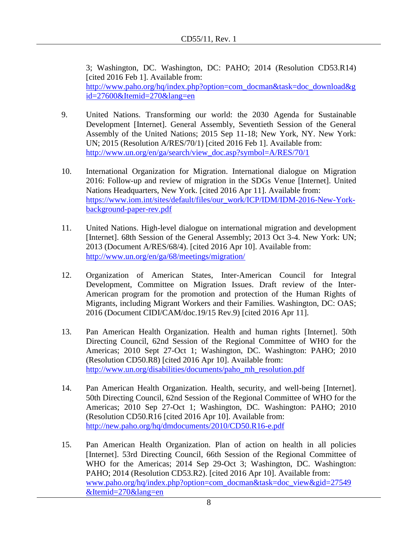3; Washington, DC. Washington, DC: PAHO; 2014 (Resolution CD53.R14) [cited 2016 Feb 1]. Available from: [http://www.paho.org/hq/index.php?option=com\\_docman&task=doc\\_download&g](http://www.paho.org/hq/index.php?option=com_docman&task=doc_download&gid=27600&Itemid=270&lang=en) [id=27600&Itemid=270&lang=en](http://www.paho.org/hq/index.php?option=com_docman&task=doc_download&gid=27600&Itemid=270&lang=en)

- 9. United Nations. Transforming our world: the 2030 Agenda for Sustainable Development [Internet]. General Assembly, Seventieth Session of the General Assembly of the United Nations; 2015 Sep 11-18; New York, NY. New York: UN; 2015 (Resolution A/RES/70/1) [cited 2016 Feb 1]. Available from: [http://www.un.org/en/ga/search/view\\_doc.asp?symbol=A/RES/70/1](http://www.un.org/en/ga/search/view_doc.asp?symbol=A/RES/70/1)
- 10. International Organization for Migration. International dialogue on Migration 2016: Follow-up and review of migration in the SDGs Venue [Internet]. United Nations Headquarters, New York. [cited 2016 Apr 11]. Available from: https://www.iom.int/sites/default/files/our\_work/ICP/IDM/IDM-2016-New-Yorkbackground-paper-rev.pdf
- 11. United Nations. High-level dialogue on international migration and development [Internet]. 68th Session of the General Assembly; 2013 Oct 3-4. New York: UN; 2013 (Document A/RES/68/4). [cited 2016 Apr 10]. Available from: <http://www.un.org/en/ga/68/meetings/migration/>
- 12. Organization of American States, Inter-American Council for Integral Development, Committee on Migration Issues. Draft review of the Inter-American program for the promotion and protection of the Human Rights of Migrants, including Migrant Workers and their Families. Washington, DC: OAS; 2016 (Document CIDI/CAM/doc.19/15 Rev.9) [cited 2016 Apr 11].
- 13. Pan American Health Organization. Health and human rights [Internet]. 50th Directing Council, 62nd Session of the Regional Committee of WHO for the Americas; 2010 Sept 27-Oct 1; Washington, DC. Washington: PAHO; 2010 (Resolution CD50.R8) [cited 2016 Apr 10]. Available from: [http://www.un.org/disabilities/documents/paho\\_mh\\_resolution.pdf](http://www.un.org/disabilities/documents/paho_mh_resolution.pdf)
- 14. Pan American Health Organization. Health, security, and well-being [Internet]. 50th Directing Council, 62nd Session of the Regional Committee of WHO for the Americas; 2010 Sep 27-Oct 1; Washington, DC. Washington: PAHO; 2010 (Resolution CD50.R16 [cited 2016 Apr 10]. Available from: <http://new.paho.org/hq/dmdocuments/2010/CD50.R16-e.pdf>
- 15. Pan American Health Organization. Plan of action on health in all policies [Internet]. 53rd Directing Council, 66th Session of the Regional Committee of WHO for the Americas; 2014 Sep 29-Oct 3; Washington, DC. Washington: PAHO; 2014 (Resolution CD53.R2). [cited 2016 Apr 10]. Available from: [www.paho.org/hq/index.php?option=com\\_docman&task=doc\\_view&gid=27549](http://www.paho.org/hq/index.php?option=com_docman&task=doc_view&gid=27549&Itemid=270&lang=en) [&Itemid=270&lang=en](http://www.paho.org/hq/index.php?option=com_docman&task=doc_view&gid=27549&Itemid=270&lang=en)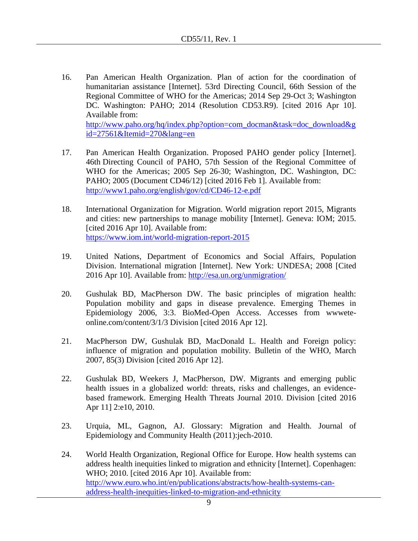16. Pan American Health Organization. Plan of action for the coordination of humanitarian assistance [Internet]. 53rd Directing Council, 66th Session of the Regional Committee of WHO for the Americas; 2014 Sep 29-Oct 3; Washington DC. Washington: PAHO; 2014 (Resolution CD53.R9). [cited 2016 Apr 10]. Available from: [http://www.paho.org/hq/index.php?option=com\\_docman&task=doc\\_download&g](http://www.paho.org/hq/index.php?option=com_docman&task=doc_download&gid=27561&Itemid=270&lang=en)

[id=27561&Itemid=270&lang=en](http://www.paho.org/hq/index.php?option=com_docman&task=doc_download&gid=27561&Itemid=270&lang=en)

- 17. Pan American Health Organization. Proposed PAHO gender policy [Internet]. 46th Directing Council of PAHO, 57th Session of the Regional Committee of WHO for the Americas; 2005 Sep 26-30; Washington, DC. Washington, DC: PAHO; 2005 (Document CD46/12) [cited 2016 Feb 1]. Available from: <http://www1.paho.org/english/gov/cd/CD46-12-e.pdf>
- 18. International Organization for Migration. World migration report 2015, Migrants and cities: new partnerships to manage mobility [Internet]. Geneva: IOM; 2015. [cited 2016 Apr 10]. Available from: https://www.iom.int/world-migration-report-2015
- 19. United Nations, Department of Economics and Social Affairs, Population Division. International migration [Internet]. New York: UNDESA; 2008 [Cited 2016 Apr 10]. Available from:<http://esa.un.org/unmigration/>
- 20. Gushulak BD, MacPherson DW. The basic principles of migration health: Population mobility and gaps in disease prevalence. Emerging Themes in Epidemiology 2006, 3:3. BioMed-Open Access. Accesses from wwweteonline.com/content/3/1/3 Division [cited 2016 Apr 12].
- 21. MacPherson DW, Gushulak BD, MacDonald L. Health and Foreign policy: influence of migration and population mobility. Bulletin of the WHO, March 2007, 85(3) Division [cited 2016 Apr 12].
- 22. Gushulak BD, Weekers J, MacPherson, DW. Migrants and emerging public health issues in a globalized world: threats, risks and challenges, an evidencebased framework. Emerging Health Threats Journal 2010. Division [cited 2016 Apr 11] 2:e10, 2010.
- 23. Urquia, ML, Gagnon, AJ. Glossary: Migration and Health. Journal of Epidemiology and Community Health (2011):jech-2010.
- 24. World Health Organization, Regional Office for Europe. How health systems can address health inequities linked to migration and ethnicity [Internet]. Copenhagen: WHO; 2010. [cited 2016 Apr 10]. Available from: [http://www.euro.who.int/en/publications/abstracts/how-health-systems-can](http://www.euro.who.int/en/publications/abstracts/how-health-systems-can-address-health-inequities-linked-to-migration-and-ethnicity)[address-health-inequities-linked-to-migration-and-ethnicity](http://www.euro.who.int/en/publications/abstracts/how-health-systems-can-address-health-inequities-linked-to-migration-and-ethnicity)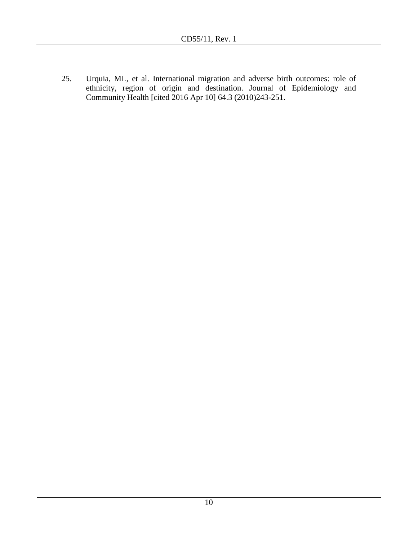25. Urquia, ML, et al. International migration and adverse birth outcomes: role of ethnicity, region of origin and destination. Journal of Epidemiology and Community Health [cited 2016 Apr 10] 64.3 (2010)243-251.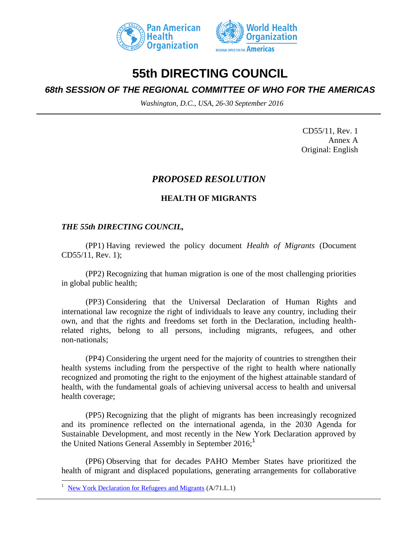



# **55th DIRECTING COUNCIL**

# *68th SESSION OF THE REGIONAL COMMITTEE OF WHO FOR THE AMERICAS*

*Washington, D.C., USA, 26-30 September 2016*

CD55/11, Rev. 1 Annex A Original: English

# *PROPOSED RESOLUTION*

## **HEALTH OF MIGRANTS**

## *THE 55th DIRECTING COUNCIL,*

(PP1) Having reviewed the policy document *Health of Migrants* (Document CD55/11, Rev. 1);

(PP2) Recognizing that human migration is one of the most challenging priorities in global public health;

(PP3) Considering that the Universal Declaration of Human Rights and international law recognize the right of individuals to leave any country, including their own, and that the rights and freedoms set forth in the Declaration, including healthrelated rights, belong to all persons, including migrants, refugees, and other non-nationals;

(PP4) Considering the urgent need for the majority of countries to strengthen their health systems including from the perspective of the right to health where nationally recognized and promoting the right to the enjoyment of the highest attainable standard of health, with the fundamental goals of achieving universal access to health and universal health coverage;

(PP5) Recognizing that the plight of migrants has been increasingly recognized and its prominence reflected on the international agenda, in the 2030 Agenda for Sustainable Development, and most recently in the New York Declaration approved by the United Nations General Assembly in September 2016;<sup>1</sup>

(PP6) Observing that for decades PAHO Member States have prioritized the health of migrant and displaced populations, generating arrangements for collaborative

l

<sup>1</sup> [New York Declaration for Refugees and Migrants](http://www.un.org/zh/documents/view_doc.asp?symbol=A/71/L.1%20&referer=http://refugeesmigrants.un.org/summit-documents&Lang=E) (A/71.L.1)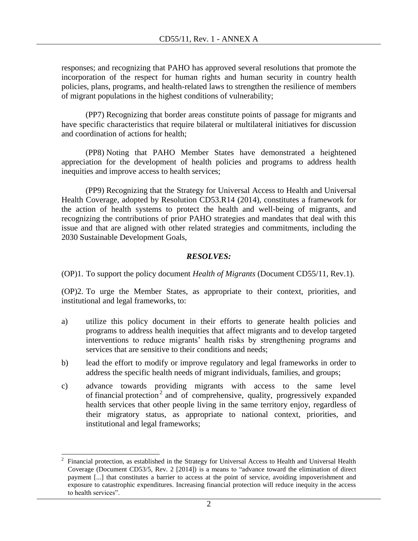responses; and recognizing that PAHO has approved several resolutions that promote the incorporation of the respect for human rights and human security in country health policies, plans, programs, and health-related laws to strengthen the resilience of members of migrant populations in the highest conditions of vulnerability;

(PP7) Recognizing that border areas constitute points of passage for migrants and have specific characteristics that require bilateral or multilateral initiatives for discussion and coordination of actions for health;

(PP8) Noting that PAHO Member States have demonstrated a heightened appreciation for the development of health policies and programs to address health inequities and improve access to health services;

(PP9) Recognizing that the Strategy for Universal Access to Health and Universal Health Coverage, adopted by Resolution CD53.R14 (2014), constitutes a framework for the action of health systems to protect the health and well-being of migrants, and recognizing the contributions of prior PAHO strategies and mandates that deal with this issue and that are aligned with other related strategies and commitments, including the 2030 Sustainable Development Goals,

## *RESOLVES:*

(OP)1. To support the policy document *Health of Migrants* (Document CD55/11, Rev.1).

(OP)2. To urge the Member States, as appropriate to their context, priorities, and institutional and legal frameworks, to:

- a) utilize this policy document in their efforts to generate health policies and programs to address health inequities that affect migrants and to develop targeted interventions to reduce migrants' health risks by strengthening programs and services that are sensitive to their conditions and needs;
- b) lead the effort to modify or improve regulatory and legal frameworks in order to address the specific health needs of migrant individuals, families, and groups;
- c) advance towards providing migrants with access to the same level of financial protection<sup>2</sup> and of comprehensive, quality, progressively expanded health services that other people living in the same territory enjoy, regardless of their migratory status, as appropriate to national context, priorities, and institutional and legal frameworks;

 $\overline{a}$ 2 Financial protection, as established in the Strategy for Universal Access to Health and Universal Health Coverage (Document CD53/5, Rev. 2 [2014]) is a means to "advance toward the elimination of direct payment [...] that constitutes a barrier to access at the point of service, avoiding impoverishment and exposure to catastrophic expenditures. Increasing financial protection will reduce inequity in the access to health services".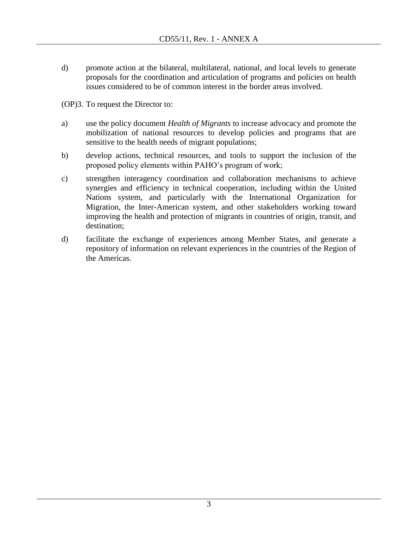d) promote action at the bilateral, multilateral, national, and local levels to generate proposals for the coordination and articulation of programs and policies on health issues considered to be of common interest in the border areas involved.

(OP)3. To request the Director to:

- a) use the policy document *Health of Migrants* to increase advocacy and promote the mobilization of national resources to develop policies and programs that are sensitive to the health needs of migrant populations;
- b) develop actions, technical resources, and tools to support the inclusion of the proposed policy elements within PAHO's program of work;
- c) strengthen interagency coordination and collaboration mechanisms to achieve synergies and efficiency in technical cooperation, including within the United Nations system, and particularly with the International Organization for Migration, the Inter-American system, and other stakeholders working toward improving the health and protection of migrants in countries of origin, transit, and destination;
- d) facilitate the exchange of experiences among Member States, and generate a repository of information on relevant experiences in the countries of the Region of the Americas.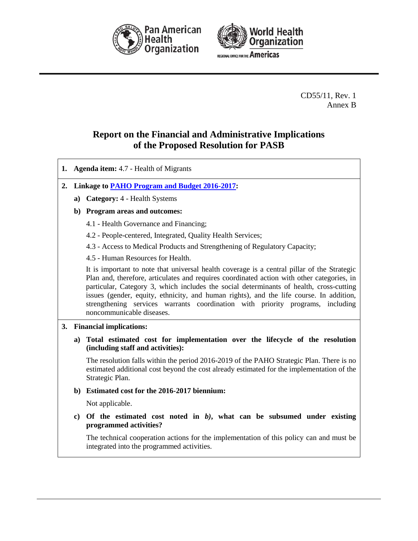



CD55/11, Rev. 1 Annex B

# **Report on the Financial and Administrative Implications of the Proposed Resolution for PASB**

**1. Agenda item:** 4.7 - Health of Migrants **2. Linkage to [PAHO Program and Budget 2016-2017:](http://www.paho.org/hq/index.php?option=com_docman&task=doc_download&gid=31676&Itemid=270&lang=en) a) Category:** 4 - Health Systems **b) Program areas and outcomes:** 4.1 - Health Governance and Financing; 4.2 - People-centered, Integrated, Quality Health Services; 4.3 - Access to Medical Products and Strengthening of Regulatory Capacity; 4.5 - Human Resources for Health. It is important to note that universal health coverage is a central pillar of the Strategic Plan and, therefore, articulates and requires coordinated action with other categories, in particular, Category 3, which includes the social determinants of health, cross-cutting issues (gender, equity, ethnicity, and human rights), and the life course. In addition, strengthening services warrants coordination with priority programs, including noncommunicable diseases. **3. Financial implications: a) Total estimated cost for implementation over the lifecycle of the resolution (including staff and activities):** The resolution falls within the period 2016-2019 of the PAHO Strategic Plan. There is no estimated additional cost beyond the cost already estimated for the implementation of the Strategic Plan. **b) Estimated cost for the 2016-2017 biennium:** Not applicable. **c) Of the estimated cost noted in** *b)***, what can be subsumed under existing programmed activities?** The technical cooperation actions for the implementation of this policy can and must be integrated into the programmed activities.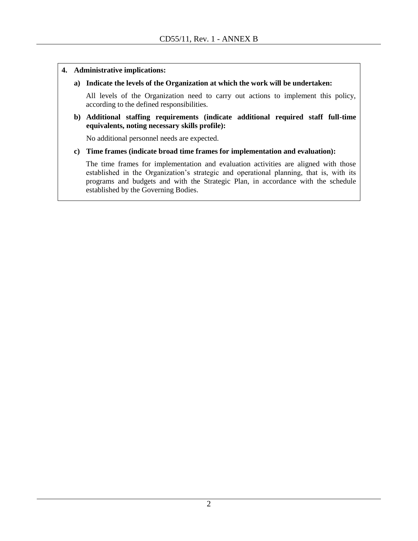#### **4. Administrative implications:**

#### **a) Indicate the levels of the Organization at which the work will be undertaken:**

All levels of the Organization need to carry out actions to implement this policy, according to the defined responsibilities.

#### **b) Additional staffing requirements (indicate additional required staff full-time equivalents, noting necessary skills profile):**

No additional personnel needs are expected.

#### **c) Time frames (indicate broad time frames for implementation and evaluation):**

The time frames for implementation and evaluation activities are aligned with those established in the Organization's strategic and operational planning, that is, with its programs and budgets and with the Strategic Plan, in accordance with the schedule established by the Governing Bodies.